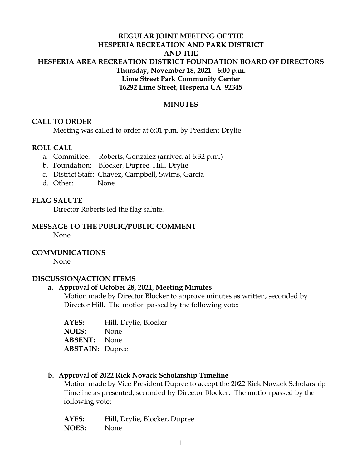# **REGULAR JOINT MEETING OF THE HESPERIA RECREATION AND PARK DISTRICT AND THE HESPERIA AREA RECREATION DISTRICT FOUNDATION BOARD OF DIRECTORS Thursday, November 18, 2021 - 6:00 p.m. Lime Street Park Community Center 16292 Lime Street, Hesperia CA 92345**

### **MINUTES**

### **CALL TO ORDER**

Meeting was called to order at 6:01 p.m. by President Drylie.

### **ROLL CALL**

- a. Committee: Roberts, Gonzalez (arrived at 6:32 p.m.)
- b. Foundation: Blocker, Dupree, Hill, Drylie
- c. District Staff: Chavez, Campbell, Swims, Garcia
- d. Other: None

### **FLAG SALUTE**

Director Roberts led the flag salute.

#### **MESSAGE TO THE PUBLIC/PUBLIC COMMENT**

None

### **COMMUNICATIONS**

None

#### **DISCUSSION/ACTION ITEMS**

#### **a. Approval of October 28, 2021, Meeting Minutes**

Motion made by Director Blocker to approve minutes as written, seconded by Director Hill. The motion passed by the following vote:

| AYES:                  | Hill, Drylie, Blocker |
|------------------------|-----------------------|
| <b>NOES:</b>           | None                  |
| <b>ABSENT:</b> None    |                       |
| <b>ABSTAIN: Dupree</b> |                       |

### **b. Approval of 2022 Rick Novack Scholarship Timeline**

Motion made by Vice President Dupree to accept the 2022 Rick Novack Scholarship Timeline as presented, seconded by Director Blocker. The motion passed by the following vote:

**AYES:** Hill, Drylie, Blocker, Dupree **NOES:** None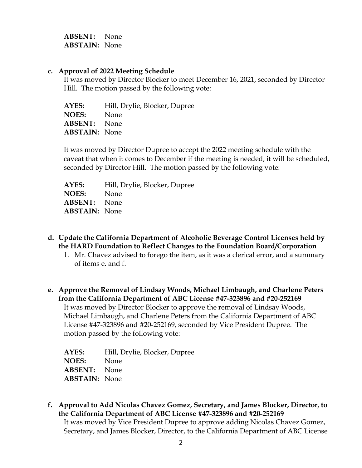**ABSENT:** None **ABSTAIN:** None

#### **c. Approval of 2022 Meeting Schedule**

It was moved by Director Blocker to meet December 16, 2021, seconded by Director Hill. The motion passed by the following vote:

**AYES:** Hill, Drylie, Blocker, Dupree **NOES:** None **ABSENT:** None **ABSTAIN:** None

It was moved by Director Dupree to accept the 2022 meeting schedule with the caveat that when it comes to December if the meeting is needed, it will be scheduled, seconded by Director Hill. The motion passed by the following vote:

**AYES:** Hill, Drylie, Blocker, Dupree **NOES:** None **ABSENT:** None **ABSTAIN:** None

- **d. Update the California Department of Alcoholic Beverage Control Licenses held by the HARD Foundation to Reflect Changes to the Foundation Board/Corporation**
	- 1. Mr. Chavez advised to forego the item, as it was a clerical error, and a summary of items e. and f.
- **e. Approve the Removal of Lindsay Woods, Michael Limbaugh, and Charlene Peters from the California Department of ABC License #47-323896 and #20-252169** It was moved by Director Blocker to approve the removal of Lindsay Woods, Michael Limbaugh, and Charlene Peters from the California Department of ABC License #47-323896 and #20-252169, seconded by Vice President Dupree. The motion passed by the following vote:

**AYES:** Hill, Drylie, Blocker, Dupree **NOES:** None **ABSENT:** None **ABSTAIN:** None

**f. Approval to Add Nicolas Chavez Gomez, Secretary, and James Blocker, Director, to the California Department of ABC License #47-323896 and #20-252169** It was moved by Vice President Dupree to approve adding Nicolas Chavez Gomez, Secretary, and James Blocker, Director, to the California Department of ABC License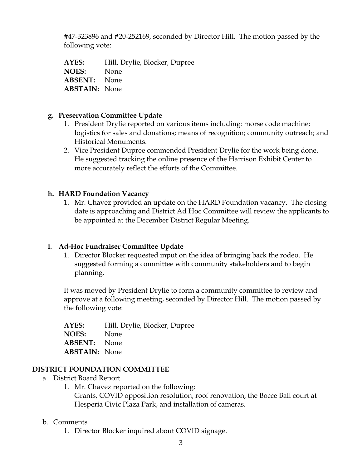#47-323896 and #20-252169, seconded by Director Hill. The motion passed by the following vote:

**AYES:** Hill, Drylie, Blocker, Dupree **NOES:** None **ABSENT:** None **ABSTAIN:** None

# **g. Preservation Committee Update**

- 1. President Drylie reported on various items including: morse code machine; logistics for sales and donations; means of recognition; community outreach; and Historical Monuments.
- 2. Vice President Dupree commended President Drylie for the work being done. He suggested tracking the online presence of the Harrison Exhibit Center to more accurately reflect the efforts of the Committee.

# **h. HARD Foundation Vacancy**

1. Mr. Chavez provided an update on the HARD Foundation vacancy. The closing date is approaching and District Ad Hoc Committee will review the applicants to be appointed at the December District Regular Meeting.

# **i. Ad-Hoc Fundraiser Committee Update**

1. Director Blocker requested input on the idea of bringing back the rodeo. He suggested forming a committee with community stakeholders and to begin planning.

It was moved by President Drylie to form a community committee to review and approve at a following meeting, seconded by Director Hill. The motion passed by the following vote:

**AYES:** Hill, Drylie, Blocker, Dupree **NOES:** None **ABSENT:** None **ABSTAIN:** None

### **DISTRICT FOUNDATION COMMITTEE**

- a. District Board Report
	- 1. Mr. Chavez reported on the following:

Grants, COVID opposition resolution, roof renovation, the Bocce Ball court at Hesperia Civic Plaza Park, and installation of cameras.

### b. Comments

1. Director Blocker inquired about COVID signage.